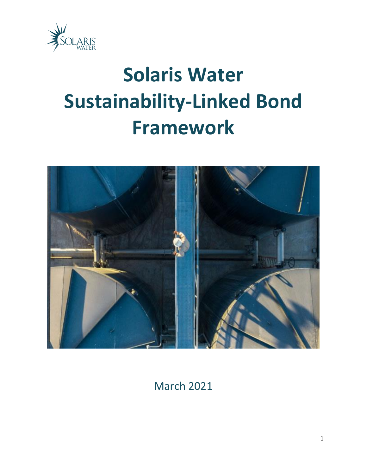

# **Solaris Water Sustainability-Linked Bond Framework**



March 2021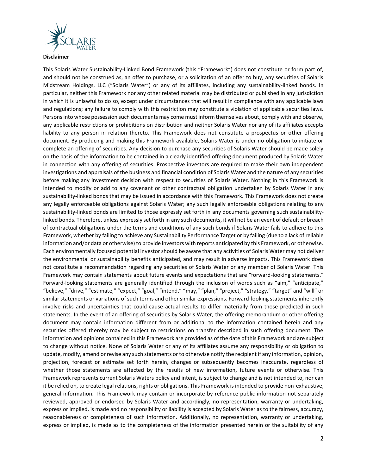

**Disclaimer**

This Solaris Water Sustainability-Linked Bond Framework (this "Framework") does not constitute or form part of, and should not be construed as, an offer to purchase, or a solicitation of an offer to buy, any securities of Solaris Midstream Holdings, LLC ("Solaris Water") or any of its affiliates, including any sustainability-linked bonds. In particular, neither this Framework nor any other related material may be distributed or published in any jurisdiction in which it is unlawful to do so, except under circumstances that will result in compliance with any applicable laws and regulations; any failure to comply with this restriction may constitute a violation of applicable securities laws. Persons into whose possession such documents may come must inform themselves about, comply with and observe, any applicable restrictions or prohibitions on distribution and neither Solaris Water nor any of its affiliates accepts liability to any person in relation thereto. This Framework does not constitute a prospectus or other offering document. By producing and making this Framework available, Solaris Water is under no obligation to initiate or complete an offering of securities. Any decision to purchase any securities of Solaris Water should be made solely on the basis of the information to be contained in a clearly identified offering document produced by Solaris Water in connection with any offering of securities. Prospective investors are required to make their own independent investigations and appraisals of the business and financial condition of Solaris Water and the nature of any securities before making any investment decision with respect to securities of Solaris Water. Nothing in this Framework is intended to modify or add to any covenant or other contractual obligation undertaken by Solaris Water in any sustainability-linked bonds that may be issued in accordance with this Framework. This Framework does not create any legally enforceable obligations against Solaris Water; any such legally enforceable obligations relating to any sustainability-linked bonds are limited to those expressly set forth in any documents governing such sustainabilitylinked bonds. Therefore, unless expressly set forth in any such documents, it will not be an event of default or breach of contractual obligations under the terms and conditions of any such bonds if Solaris Water fails to adhere to this Framework, whether by failing to achieve any Sustainability Performance Target or by failing (due to a lack of reliable information and/or data or otherwise) to provide investors with reports anticipated by this Framework, or otherwise. Each environmentally focused potential investor should be aware that any activities of Solaris Water may not deliver the environmental or sustainability benefits anticipated, and may result in adverse impacts. This Framework does not constitute a recommendation regarding any securities of Solaris Water or any member of Solaris Water. This Framework may contain statements about future events and expectations that are "forward-looking statements." Forward-looking statements are generally identified through the inclusion of words such as "aim," "anticipate," "believe," "drive," "estimate," "expect," "goal," "intend," "may," "plan," "project," "strategy," "target" and "will" or similar statements or variations of such terms and other similar expressions. Forward-looking statements inherently involve risks and uncertainties that could cause actual results to differ materially from those predicted in such statements. In the event of an offering of securities by Solaris Water, the offering memorandum or other offering document may contain information different from or additional to the information contained herein and any securities offered thereby may be subject to restrictions on transfer described in such offering document. The information and opinions contained in this Framework are provided as of the date of this Framework and are subject to change without notice. None of Solaris Water or any of its affiliates assume any responsibility or obligation to update, modify, amend or revise any such statements or to otherwise notify the recipient if any information, opinion, projection, forecast or estimate set forth herein, changes or subsequently becomes inaccurate, regardless of whether those statements are affected by the results of new information, future events or otherwise. This Framework represents current Solaris Waters policy and intent, is subject to change and is not intended to, nor can it be relied on, to create legal relations, rights or obligations. This Framework is intended to provide non-exhaustive, general information. This Framework may contain or incorporate by reference public information not separately reviewed, approved or endorsed by Solaris Water and accordingly, no representation, warranty or undertaking, express or implied, is made and no responsibility or liability is accepted by Solaris Water as to the fairness, accuracy, reasonableness or completeness of such information. Additionally, no representation, warranty or undertaking, express or implied, is made as to the completeness of the information presented herein or the suitability of any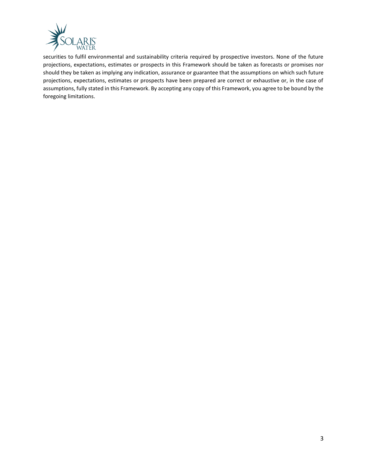

securities to fulfil environmental and sustainability criteria required by prospective investors. None of the future projections, expectations, estimates or prospects in this Framework should be taken as forecasts or promises nor should they be taken as implying any indication, assurance or guarantee that the assumptions on which such future projections, expectations, estimates or prospects have been prepared are correct or exhaustive or, in the case of assumptions, fully stated in this Framework. By accepting any copy of this Framework, you agree to be bound by the foregoing limitations.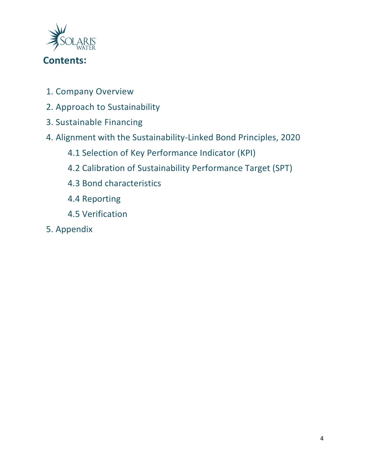

- 1. Company Overview
- 2. Approach to Sustainability
- 3. Sustainable Financing
- 4. Alignment with the Sustainability-Linked Bond Principles, 2020
	- 4.1 Selection of Key Performance Indicator (KPI)
	- 4.2 Calibration of Sustainability Performance Target (SPT)
	- 4.3 Bond characteristics
	- 4.4 Reporting
	- 4.5 Verification
- 5. Appendix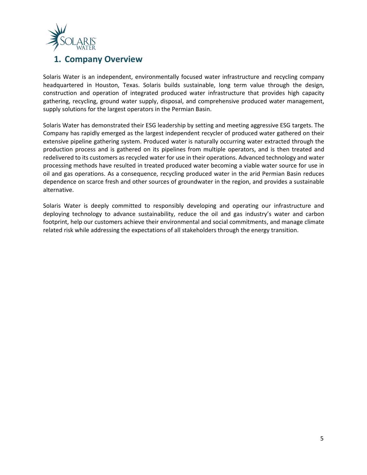

## **1. Company Overview**

Solaris Water is an independent, environmentally focused water infrastructure and recycling company headquartered in Houston, Texas. Solaris builds sustainable, long term value through the design, construction and operation of integrated produced water infrastructure that provides high capacity gathering, recycling, ground water supply, disposal, and comprehensive produced water management, supply solutions for the largest operators in the Permian Basin.

Solaris Water has demonstrated their ESG leadership by setting and meeting aggressive ESG targets. The Company has rapidly emerged as the largest independent recycler of produced water gathered on their extensive pipeline gathering system. Produced water is naturally occurring water extracted through the production process and is gathered on its pipelines from multiple operators, and is then treated and redelivered to its customers as recycled water for use in their operations. Advanced technology and water processing methods have resulted in treated produced water becoming a viable water source for use in oil and gas operations. As a consequence, recycling produced water in the arid Permian Basin reduces dependence on scarce fresh and other sources of groundwater in the region, and provides a sustainable alternative.

Solaris Water is deeply committed to responsibly developing and operating our infrastructure and deploying technology to advance sustainability, reduce the oil and gas industry's water and carbon footprint, help our customers achieve their environmental and social commitments, and manage climate related risk while addressing the expectations of all stakeholders through the energy transition.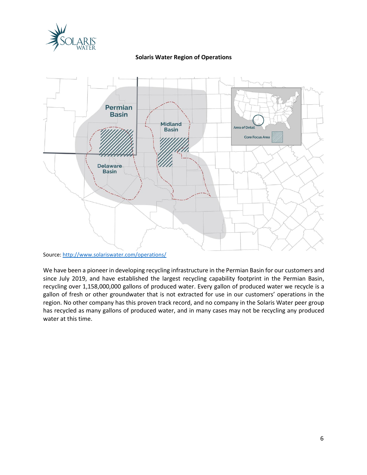

#### **Solaris Water Region of Operations**



We have been a pioneer in developing recycling infrastructure in the Permian Basin for our customers and since July 2019, and have established the largest recycling capability footprint in the Permian Basin, recycling over 1,158,000,000 gallons of produced water. Every gallon of produced water we recycle is a gallon of fresh or other groundwater that is not extracted for use in our customers' operations in the region. No other company has this proven track record, and no company in the Solaris Water peer group has recycled as many gallons of produced water, and in many cases may not be recycling any produced water at this time.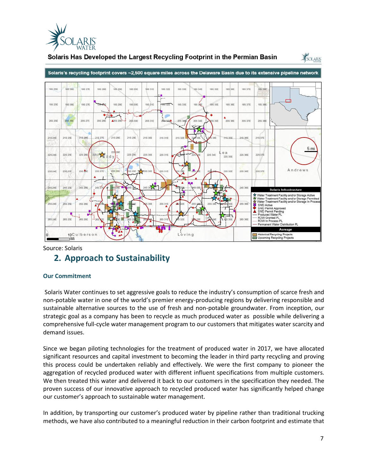

#### Solaris Has Developed the Largest Recycling Footprint in the Permian Basin



Source: Solaris

## **2. Approach to Sustainability**

#### **Our Commitment**

Solaris Water continues to set aggressive goals to reduce the industry's consumption of scarce fresh and non-potable water in one of the world's premier energy-producing regions by delivering responsible and sustainable alternative sources to the use of fresh and non-potable groundwater. From inception, our strategic goal as a company has been to recycle as much produced water as possible while delivering a comprehensive full-cycle water management program to our customers that mitigates water scarcity and demand issues.

Since we began piloting technologies for the treatment of produced water in 2017, we have allocated significant resources and capital investment to becoming the leader in third party recycling and proving this process could be undertaken reliably and effectively. We were the first company to pioneer the aggregation of recycled produced water with different influent specifications from multiple customers. We then treated this water and delivered it back to our customers in the specification they needed. The proven success of our innovative approach to recycled produced water has significantly helped change our customer's approach to sustainable water management.

In addition, by transporting our customer's produced water by pipeline rather than traditional trucking methods, we have also contributed to a meaningful reduction in their carbon footprint and estimate that

SOLARIS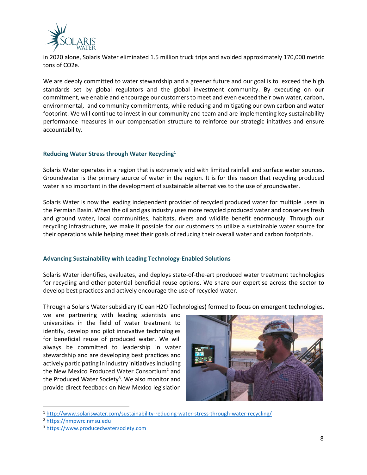

in 2020 alone, Solaris Water eliminated 1.5 million truck trips and avoided approximately 170,000 metric tons of CO2e.

We are deeply committed to water stewardship and a greener future and our goal is to exceed the high standards set by global regulators and the global investment community. By executing on our commitment, we enable and encourage our customers to meet and even exceed their own water, carbon, environmental, and community commitments, while reducing and mitigating our own carbon and water footprint. We will continue to invest in our community and team and are implementing key sustainability performance measures in our compensation structure to reinforce our strategic initatives and ensure accountability.

#### **Reducing Water Stress through Water Recycling<sup>1</sup>**

Solaris Water operates in a region that is extremely arid with limited rainfall and surface water sources. Groundwater is the primary source of water in the region. It is for this reason that recycling produced water is so important in the development of sustainable alternatives to the use of groundwater.

Solaris Water is now the leading independent provider of recycled produced water for multiple users in the Permian Basin. When the oil and gas industry uses more recycled produced water and conserves fresh and ground water, local communities, habitats, rivers and wildlife benefit enormously. Through our recycling infrastructure, we make it possible for our customers to utilize a sustainable water source for their operations while helping meet their goals of reducing their overall water and carbon footprints.

#### **Advancing Sustainability with Leading Technology-Enabled Solutions**

Solaris Water identifies, evaluates, and deploys state-of-the-art produced water treatment technologies for recycling and other potential beneficial reuse options. We share our expertise across the sector to develop best practices and actively encourage the use of recycled water.

Through a Solaris Water subsidiary (Clean H2O Technologies) formed to focus on emergent technologies,

we are partnering with leading scientists and universities in the field of water treatment to identify, develop and pilot innovative technologies for beneficial reuse of produced water. We will always be committed to leadership in water stewardship and are developing best practices and actively participating in industry initiatives including the New Mexico Produced Water Consortium<sup>2</sup> and the Produced Water Society<sup>3</sup>. We also monitor and provide direct feedback on New Mexico legislation



<sup>1</sup> <http://www.solariswater.com/sustainability-reducing-water-stress-through-water-recycling/>

<sup>2</sup> [https://nmpwrc.nmsu.edu](https://nmpwrc.nmsu.edu/)

<sup>3</sup> [https://www.producedwatersociety.com](https://www.producedwatersociety.com/)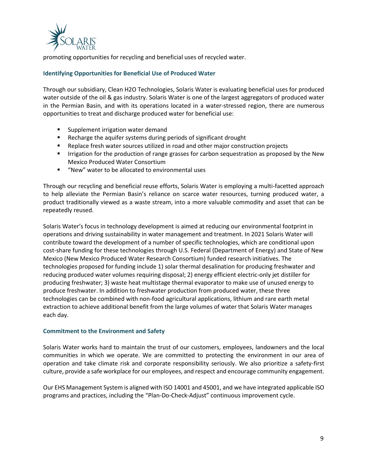

promoting opportunities for recycling and beneficial uses of recycled water.

#### **Identifying Opportunities for Beneficial Use of Produced Water**

Through our subsidiary, Clean H2O Technologies, Solaris Water is evaluating beneficial uses for produced water outside of the oil & gas industry. Solaris Water is one of the largest aggregators of produced water in the Permian Basin, and with its operations located in a water-stressed region, there are numerous opportunities to treat and discharge produced water for beneficial use:

- Supplement irrigation water demand
- Recharge the aquifer systems during periods of significant drought
- Replace fresh water sources utilized in road and other major construction projects
- **■** Irrigation for the production of range grasses for carbon sequestration as proposed by the New Mexico Produced Water Consortium
- "New" water to be allocated to environmental uses

Through our recycling and beneficial reuse efforts, Solaris Water is employing a multi-facetted approach to help alleviate the Permian Basin's reliance on scarce water resources, turning produced water, a product traditionally viewed as a waste stream, into a more valuable commodity and asset that can be repeatedly reused.

Solaris Water's focus in technology development is aimed at reducing our environmental footprint in operations and driving sustainability in water management and treatment. In 2021 Solaris Water will contribute toward the development of a number of specific technologies, which are conditional upon cost-share funding for these technologies through U.S. Federal (Department of Energy) and State of New Mexico (New Mexico Produced Water Research Consortium) funded research initiatives. The technologies proposed for funding include 1) solar thermal desalination for producing freshwater and reducing produced water volumes requiring disposal; 2) energy efficient electric-only jet distiller for producing freshwater; 3) waste heat multistage thermal evaporator to make use of unused energy to produce freshwater. In addition to freshwater production from produced water, these three technologies can be combined with non-food agricultural applications, lithium and rare earth metal extraction to achieve additional benefit from the large volumes of water that Solaris Water manages each day.

#### **Commitment to the Environment and Safety**

Solaris Water works hard to maintain the trust of our customers, employees, landowners and the local communities in which we operate. We are committed to protecting the environment in our area of operation and take climate risk and corporate responsibility seriously. We also prioritize a safety-first culture, provide a safe workplace for our employees, and respect and encourage community engagement.

Our EHS Management System is aligned with ISO 14001 and 45001, and we have integrated applicable ISO programs and practices, including the "Plan-Do-Check-Adjust" continuous improvement cycle.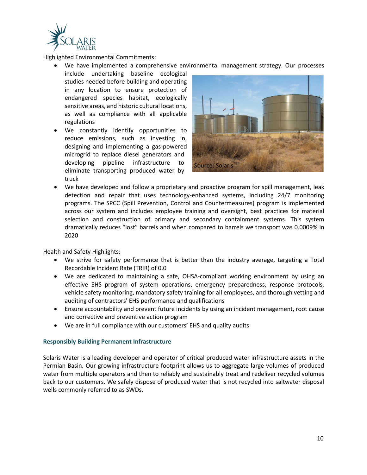

Highlighted Environmental Commitments:

- We have implemented a comprehensive environmental management strategy. Our processes
- include undertaking baseline ecological studies needed before building and operating in any location to ensure protection of endangered species habitat, ecologically sensitive areas, and historic cultural locations, as well as compliance with all applicable regulations
- We constantly identify opportunities to reduce emissions, such as investing in, designing and implementing a gas-powered microgrid to replace diesel generators and developing pipeline infrastructure to eliminate transporting produced water by truck



• We have developed and follow a proprietary and proactive program for spill management, leak detection and repair that uses technology-enhanced systems, including 24/7 monitoring programs. The SPCC (Spill Prevention, Control and Countermeasures) program is implemented across our system and includes employee training and oversight, best practices for material selection and construction of primary and secondary containment systems. This system dramatically reduces "lost" barrels and when compared to barrels we transport was 0.0009% in 2020

Health and Safety Highlights:

- We strive for safety performance that is better than the industry average, targeting a Total Recordable Incident Rate (TRIR) of 0.0
- We are dedicated to maintaining a safe, OHSA-compliant working environment by using an effective EHS program of system operations, emergency preparedness, response protocols, vehicle safety monitoring, mandatory safety training for all employees, and thorough vetting and auditing of contractors' EHS performance and qualifications
- Ensure accountability and prevent future incidents by using an incident management, root cause and corrective and preventive action program
- We are in full compliance with our customers' EHS and quality audits

#### **Responsibly Building Permanent Infrastructure**

Solaris Water is a leading developer and operator of critical produced water infrastructure assets in the Permian Basin. Our growing infrastructure footprint allows us to aggregate large volumes of produced water from multiple operators and then to reliably and sustainably treat and redeliver recycled volumes back to our customers. We safely dispose of produced water that is not recycled into saltwater disposal wells commonly referred to as SWDs.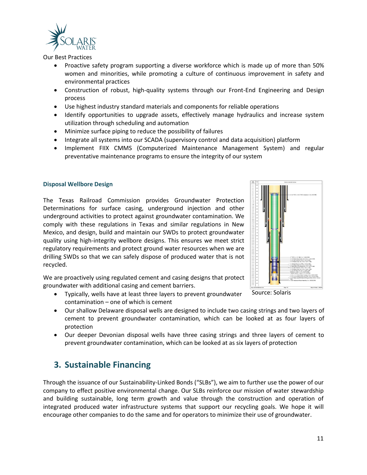

Our Best Practices

- Proactive safety program supporting a diverse workforce which is made up of more than 50% women and minorities, while promoting a culture of continuous improvement in safety and environmental practices
- Construction of robust, high-quality systems through our Front-End Engineering and Design process
- Use highest industry standard materials and components for reliable operations
- Identify opportunities to upgrade assets, effectively manage hydraulics and increase system utilization through scheduling and automation
- Minimize surface piping to reduce the possibility of failures
- Integrate all systems into our SCADA (supervisory control and data acquisition) platform
- Implement FIIX CMMS (Computerized Maintenance Management System) and regular preventative maintenance programs to ensure the integrity of our system

#### **Disposal Wellbore Design**

The Texas Railroad Commission provides Groundwater Protection Determinations for surface casing, underground injection and other underground activities to protect against groundwater contamination. We comply with these regulations in Texas and similar regulations in New Mexico, and design, build and maintain our SWDs to protect groundwater quality using high-integrity wellbore designs. This ensures we meet strict regulatory requirements and protect ground water resources when we are drilling SWDs so that we can safely dispose of produced water that is not recycled.

We are proactively using regulated cement and casing designs that protect groundwater with additional casing and cement barriers.

- Typically, wells have at least three layers to prevent groundwater contamination – one of which is cement
- Our shallow Delaware disposal wells are designed to include two casing strings and two layers of cement to prevent groundwater contamination, which can be looked at as four layers of protection
- Our deeper Devonian disposal wells have three casing strings and three layers of cement to prevent groundwater contamination, which can be looked at as six layers of protection

## **3. Sustainable Financing**

Through the issuance of our Sustainability-Linked Bonds ("SLBs"), we aim to further use the power of our company to effect positive environmental change. Our SLBs reinforce our mission of water stewardship and building sustainable, long term growth and value through the construction and operation of integrated produced water infrastructure systems that support our recycling goals. We hope it will encourage other companies to do the same and for operators to minimize their use of groundwater.



Source: Solaris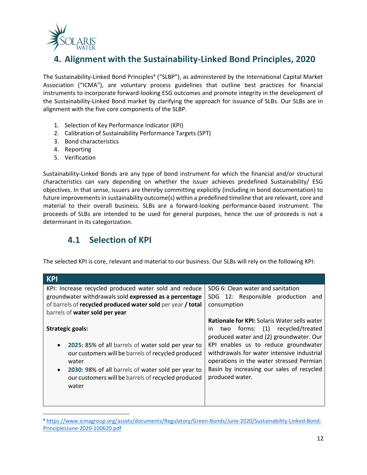

# **4. Alignment with the Sustainability-Linked Bond Principles, 2020**

The Sustainability-Linked Bond Principles<sup>4</sup> ("SLBP"), as administered by the International Capital Market Association ("ICMA"), are voluntary process guidelines that outline best practices for financial instruments to incorporate forward-looking ESG outcomes and promote integrity in the development of the Sustainability-Linked Bond market by clarifying the approach for issuance of SLBs. Our SLBs are in alignment with the five core components of the SLBP.

- 1. Selection of Key Performance Indicator (KPI)
- 2. Calibration of Sustainability Performance Targets (SPT)
- 3. Bond characteristics
- 4. Reporting
- 5. Verification

Sustainability-Linked Bonds are any type of bond instrument for which the financial and/or structural characteristics can vary depending on whether the issuer achieves predefined Sustainability/ ESG objectives. In that sense, issuers are thereby committing explicitly (including in bond documentation) to future improvements in sustainability outcome(s) within a predefined timeline that are relevant, core and material to their overall business. SLBs are a forward-looking performance-based instrument. The proceeds of SLBs are intended to be used for general purposes, hence the use of proceeds is not a determinant in its categorization.

## **4.1 Selection of KPI**

The selected KPI is core, relevant and material to our business. Our SLBs will rely on the following KPI:

| <b>KPI</b>                                                                                                                                                                                                                                                                                  |                                                                                                                                                                                                                                                                                                                                            |
|---------------------------------------------------------------------------------------------------------------------------------------------------------------------------------------------------------------------------------------------------------------------------------------------|--------------------------------------------------------------------------------------------------------------------------------------------------------------------------------------------------------------------------------------------------------------------------------------------------------------------------------------------|
| KPI: Increase recycled produced water sold and reduce<br>groundwater withdrawals sold expressed as a percentage<br>of barrels of recycled produced water sold per year / total<br>barrels of water sold per year                                                                            | SDG 6: Clean water and sanitation<br>SDG 12: Responsible production and<br>consumption                                                                                                                                                                                                                                                     |
| <b>Strategic goals:</b><br>2025: 85% of all barrels of water sold per year to<br>$\bullet$<br>our customers will be barrels of recycled produced<br>water<br>2030: 98% of all barrels of water sold per year to<br>$\bullet$<br>our customers will be barrels of recycled produced<br>water | <b>Rationale for KPI:</b> Solaris Water sells water<br>two forms: (1) recycled/treated<br>in.<br>produced water and (2) groundwater. Our<br>KPI enables us to reduce groundwater<br>withdrawals for water intensive industrial<br>operations in the water stressed Permian<br>Basin by increasing our sales of recycled<br>produced water. |

<sup>4</sup> [https://www.icmagroup.org/assets/documents/Regulatory/Green-Bonds/June-2020/Sustainability-Linked-Bond-](https://www.icmagroup.org/assets/documents/Regulatory/Green-Bonds/June-2020/Sustainability-Linked-Bond-PrinciplesJune-2020-100620.pdf)[PrinciplesJune-2020-100620.pdf](https://www.icmagroup.org/assets/documents/Regulatory/Green-Bonds/June-2020/Sustainability-Linked-Bond-PrinciplesJune-2020-100620.pdf)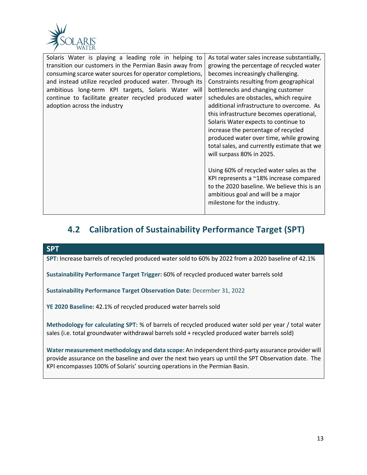

| Solaris Water is playing a leading role in helping to<br>transition our customers in the Permian Basin away from<br>consuming scarce water sources for operator completions,<br>and instead utilize recycled produced water. Through its<br>ambitious long-term KPI targets, Solaris Water will<br>continue to facilitate greater recycled produced water<br>adoption across the industry | As total water sales increase substantially,<br>growing the percentage of recycled water<br>becomes increasingly challenging.<br>Constraints resulting from geographical<br>bottlenecks and changing customer<br>schedules are obstacles, which require<br>additional infrastructure to overcome. As<br>this infrastructure becomes operational,<br>Solaris Water expects to continue to<br>increase the percentage of recycled<br>produced water over time, while growing<br>total sales, and currently estimate that we<br>will surpass 80% in 2025.<br>Using 60% of recycled water sales as the<br>KPI represents a ~18% increase compared<br>to the 2020 baseline. We believe this is an<br>ambitious goal and will be a major |
|-------------------------------------------------------------------------------------------------------------------------------------------------------------------------------------------------------------------------------------------------------------------------------------------------------------------------------------------------------------------------------------------|------------------------------------------------------------------------------------------------------------------------------------------------------------------------------------------------------------------------------------------------------------------------------------------------------------------------------------------------------------------------------------------------------------------------------------------------------------------------------------------------------------------------------------------------------------------------------------------------------------------------------------------------------------------------------------------------------------------------------------|
|                                                                                                                                                                                                                                                                                                                                                                                           | milestone for the industry.                                                                                                                                                                                                                                                                                                                                                                                                                                                                                                                                                                                                                                                                                                        |

# **4.2 Calibration of Sustainability Performance Target (SPT)**

**SPT**

**SPT:** Increase barrels of recycled produced water sold to 60% by 2022 from a 2020 baseline of 42.1%

**Sustainability Performance Target Trigger:** 60% of recycled produced water barrels sold

**Sustainability Performance Target Observation Date:** December 31, 2022

**YE 2020 Baseline:** 42.1% of recycled produced water barrels sold

**Methodology for calculating SPT:** % of barrels of recycled produced water sold per year / total water sales (i.e. total groundwater withdrawal barrels sold + recycled produced water barrels sold)

**Water measurement methodology and data scope:** An independent third-party assurance provider will provide assurance on the baseline and over the next two years up until the SPT Observation date. The KPI encompasses 100% of Solaris' sourcing operations in the Permian Basin.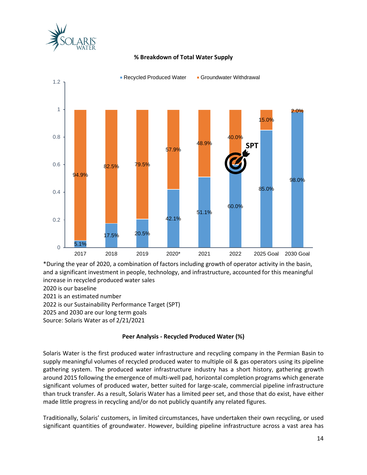



#### **% Breakdown of Total Water Supply**

\*During the year of 2020, a combination of factors including growth of operator activity in the basin, and a significant investment in people, technology, and infrastructure, accounted for this meaningful increase in recycled produced water sales

2020 is our baseline

2021 is an estimated number

2022 is our Sustainability Performance Target (SPT)

2025 and 2030 are our long term goals

Source: Solaris Water as of 2/21/2021

#### **Peer Analysis - Recycled Produced Water (%)**

Solaris Water is the first produced water infrastructure and recycling company in the Permian Basin to supply meaningful volumes of recycled produced water to multiple oil & gas operators using its pipeline gathering system. The produced water infrastructure industry has a short history, gathering growth around 2015 following the emergence of multi-well pad, horizontal completion programs which generate significant volumes of produced water, better suited for large-scale, commercial pipeline infrastructure than truck transfer. As a result, Solaris Water has a limited peer set, and those that do exist, have either made little progress in recycling and/or do not publicly quantify any related figures.

Traditionally, Solaris' customers, in limited circumstances, have undertaken their own recycling, or used significant quantities of groundwater. However, building pipeline infrastructure across a vast area has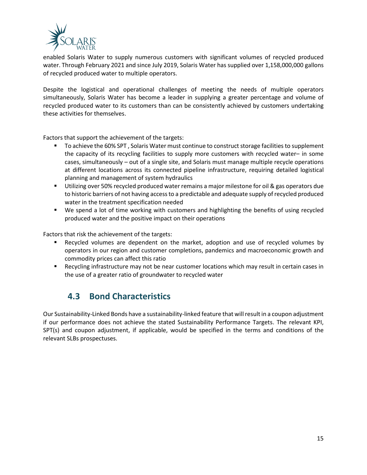

enabled Solaris Water to supply numerous customers with significant volumes of recycled produced water. Through February 2021 and since July 2019, Solaris Water has supplied over 1,158,000,000 gallons of recycled produced water to multiple operators.

Despite the logistical and operational challenges of meeting the needs of multiple operators simultaneously, Solaris Water has become a leader in supplying a greater percentage and volume of recycled produced water to its customers than can be consistently achieved by customers undertaking these activities for themselves.

Factors that support the achievement of the targets:

- To achieve the 60% SPT, Solaris Water must continue to construct storage facilities to supplement the capacity of its recycling facilities to supply more customers with recycled water– in some cases, simultaneously – out of a single site, and Solaris must manage multiple recycle operations at different locations across its connected pipeline infrastructure, requiring detailed logistical planning and management of system hydraulics
- Utilizing over 50% recycled produced water remains a major milestone for oil & gas operators due to historic barriers of not having access to a predictable and adequate supply of recycled produced water in the treatment specification needed
- We spend a lot of time working with customers and highlighting the benefits of using recycled produced water and the positive impact on their operations

Factors that risk the achievement of the targets:

- Recycled volumes are dependent on the market, adoption and use of recycled volumes by operators in our region and customer completions, pandemics and macroeconomic growth and commodity prices can affect this ratio
- Recycling infrastructure may not be near customer locations which may result in certain cases in the use of a greater ratio of groundwater to recycled water

## **4.3 Bond Characteristics**

Our Sustainability-Linked Bonds have a sustainability-linked feature that will result in a coupon adjustment if our performance does not achieve the stated Sustainability Performance Targets. The relevant KPI, SPT(s) and coupon adjustment, if applicable, would be specified in the terms and conditions of the relevant SLBs prospectuses.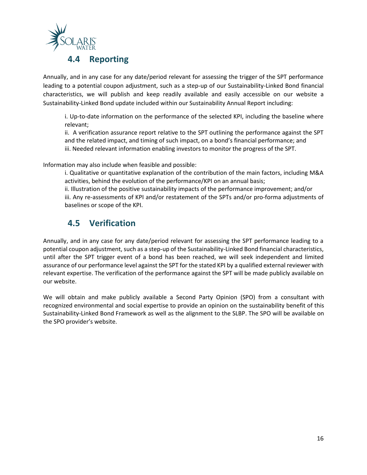

### **4.4 Reporting**

Annually, and in any case for any date/period relevant for assessing the trigger of the SPT performance leading to a potential coupon adjustment, such as a step-up of our Sustainability-Linked Bond financial characteristics, we will publish and keep readily available and easily accessible on our website a Sustainability-Linked Bond update included within our Sustainability Annual Report including:

i. Up-to-date information on the performance of the selected KPI, including the baseline where relevant;

ii. A verification assurance report relative to the SPT outlining the performance against the SPT and the related impact, and timing of such impact, on a bond's financial performance; and iii. Needed relevant information enabling investors to monitor the progress of the SPT.

Information may also include when feasible and possible:

i. Qualitative or quantitative explanation of the contribution of the main factors, including M&A activities, behind the evolution of the performance/KPI on an annual basis;

ii. Illustration of the positive sustainability impacts of the performance improvement; and/or iii. Any re-assessments of KPI and/or restatement of the SPTs and/or pro-forma adjustments of baselines or scope of the KPI.

## **4.5 Verification**

Annually, and in any case for any date/period relevant for assessing the SPT performance leading to a potential coupon adjustment, such as a step-up of the Sustainability-Linked Bond financial characteristics, until after the SPT trigger event of a bond has been reached, we will seek independent and limited assurance of our performance level against the SPT for the stated KPI by a qualified external reviewer with relevant expertise. The verification of the performance against the SPT will be made publicly available on our website.

We will obtain and make publicly available a Second Party Opinion (SPO) from a consultant with recognized environmental and social expertise to provide an opinion on the sustainability benefit of this Sustainability-Linked Bond Framework as well as the alignment to the SLBP. The SPO will be available on the SPO provider's website.